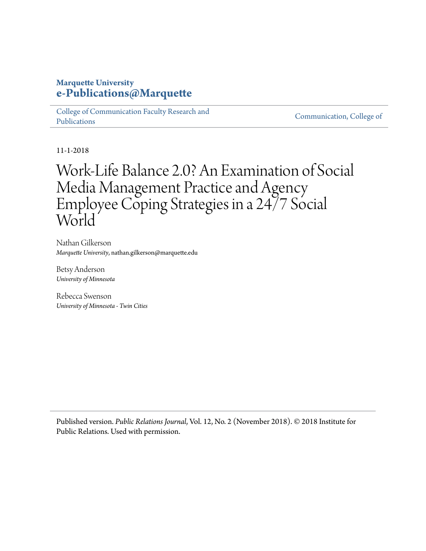## **Marquette University [e-Publications@Marquette](https://epublications.marquette.edu)**

[College of Communication Faculty Research and](https://epublications.marquette.edu/comm_fac) [Publications](https://epublications.marquette.edu/comm_fac)

[Communication, College of](https://epublications.marquette.edu/communication)

11-1-2018

# Work-Life Balance 2.0? An Examination of Social Media Management Practice and Agency Employee Coping Strategies in a 24/7 Social World

Nathan Gilkerson *Marquette University*, nathan.gilkerson@marquette.edu

Betsy Anderson *University of Minnesota*

Rebecca Swenson *University of Minnesota - Twin Cities*

Published version. *Public Relations Journal*, Vol. 12, No. 2 (November 2018). © 2018 Institute for Public Relations. Used with permission.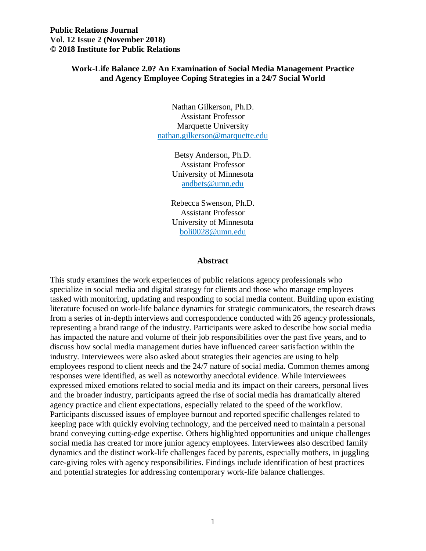## **Work-Life Balance 2.0? An Examination of Social Media Management Practice and Agency Employee Coping Strategies in a 24/7 Social World**

Nathan Gilkerson, Ph.D. Assistant Professor Marquette University [nathan.gilkerson@marquette.edu](mailto:nathan.gilkerson@marquette.edu) 

> Betsy Anderson, Ph.D. Assistant Professor University of Minnesota [andbets@umn.edu](mailto:andbets@umn.edu)

Rebecca Swenson, Ph.D. Assistant Professor University of Minnesota [boli0028@umn.edu](mailto:boli0028@umn.edu) 

#### **Abstract**

 This study examines the work experiences of public relations agency professionals who from a series of in-depth interviews and correspondence conducted with 26 agency professionals, representing a brand range of the industry. Participants were asked to describe how social media has impacted the nature and volume of their job responsibilities over the past five years, and to discuss how social media management duties have influenced career satisfaction within the expressed mixed emotions related to social media and its impact on their careers, personal lives brand conveying cutting-edge expertise. Others highlighted opportunities and unique challenges specialize in social media and digital strategy for clients and those who manage employees tasked with monitoring, updating and responding to social media content. Building upon existing literature focused on work-life balance dynamics for strategic communicators, the research draws industry. Interviewees were also asked about strategies their agencies are using to help employees respond to client needs and the 24/7 nature of social media. Common themes among responses were identified, as well as noteworthy anecdotal evidence. While interviewees and the broader industry, participants agreed the rise of social media has dramatically altered agency practice and client expectations, especially related to the speed of the workflow. Participants discussed issues of employee burnout and reported specific challenges related to keeping pace with quickly evolving technology, and the perceived need to maintain a personal social media has created for more junior agency employees. Interviewees also described family dynamics and the distinct work-life challenges faced by parents, especially mothers, in juggling care-giving roles with agency responsibilities. Findings include identification of best practices and potential strategies for addressing contemporary work-life balance challenges.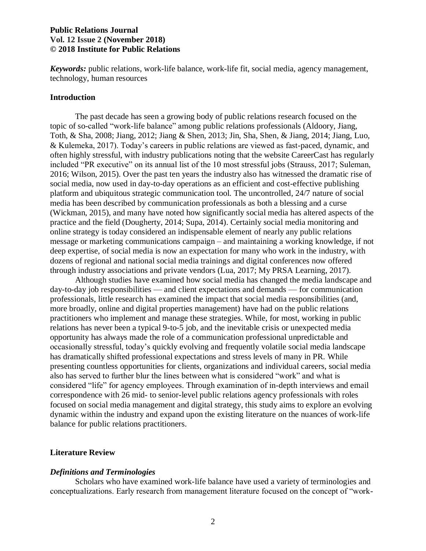*Keywords:* public relations, work-life balance, work-life fit, social media, agency management, technology, human resources

#### **Introduction**

 The past decade has seen a growing body of public relations research focused on the topic of so-called "work-life balance" among public relations professionals (Aldoory, Jiang, & Kulemeka, 2017). Today's careers in public relations are viewed as fast-paced, dynamic, and included "PR executive" on its annual list of the 10 most stressful jobs (Strauss, 2017; Suleman, 2016; Wilson, 2015). Over the past ten years the industry also has witnessed the dramatic rise of platform and ubiquitous strategic communication tool. The uncontrolled, 24/7 nature of social media has been described by communication professionals as both a blessing and a curse (Wickman, 2015), and many have noted how significantly social media has altered aspects of the online strategy is today considered an indispensable element of nearly any public relations message or marketing communications campaign – and maintaining a working knowledge, if not deep expertise, of social media is now an expectation for many who work in the industry, with Toth, & Sha, 2008; Jiang, 2012; Jiang & Shen, 2013; Jin, Sha, Shen, & Jiang, 2014; Jiang, Luo, often highly stressful, with industry publications noting that the website CareerCast has regularly social media, now used in day-to-day operations as an efficient and cost-effective publishing practice and the field (Dougherty, 2014; Supa, 2014). Certainly social media monitoring and dozens of regional and national social media trainings and digital conferences now offered through industry associations and private vendors (Lua, 2017; My PRSA Learning, 2017).

 Although studies have examined how social media has changed the media landscape and relations has never been a typical 9-to-5 job, and the inevitable crisis or unexpected media opportunity has always made the role of a communication professional unpredictable and occasionally stressful, today's quickly evolving and frequently volatile social media landscape has dramatically shifted professional expectations and stress levels of many in PR. While also has served to further blur the lines between what is considered "work" and what is considered "life" for agency employees. Through examination of in-depth interviews and email dynamic within the industry and expand upon the existing literature on the nuances of work-life day-to-day job responsibilities — and client expectations and demands — for communication professionals, little research has examined the impact that social media responsibilities (and, more broadly, online and digital properties management) have had on the public relations practitioners who implement and manage these strategies. While, for most, working in public presenting countless opportunities for clients, organizations and individual careers, social media correspondence with 26 mid- to senior-level public relations agency professionals with roles focused on social media management and digital strategy, this study aims to explore an evolving balance for public relations practitioners.

#### **Literature Review**

#### *Definitions and Terminologies*

 conceptualizations. Early research from management literature focused on the concept of "work-Scholars who have examined work-life balance have used a variety of terminologies and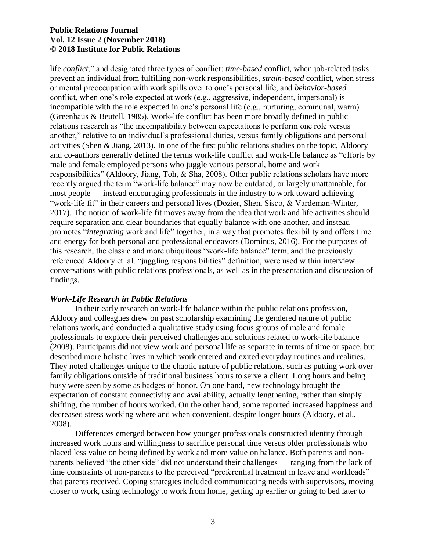life *conflict*," and designated three types of conflict: *time-based* conflict, when job-related tasks prevent an individual from fulfilling non-work responsibilities, *strain-based* conflict, when stress or mental preoccupation with work spills over to one's personal life, and *behavior-based*  incompatible with the role expected in one's personal life (e.g., nurturing, communal, warm) (Greenhaus & Beutell, 1985). Work-life conflict has been more broadly defined in public relations research as "the incompatibility between expectations to perform one role versus another," relative to an individual's professional duties, versus family obligations and personal activities (Shen & Jiang, 2013). In one of the first public relations studies on the topic, Aldoory male and female employed persons who juggle various personal, home and work responsibilities" (Aldoory, Jiang, Toh, & Sha, 2008). Other public relations scholars have more most people — instead encouraging professionals in the industry to work toward achieving "work-life fit" in their careers and personal lives (Dozier, Shen, Sisco, & Vardeman-Winter, 2017). The notion of work-life fit moves away from the idea that work and life activities should require separation and clear boundaries that equally balance with one another, and instead and energy for both personal and professional endeavors (Dominus, 2016). For the purposes of conversations with public relations professionals, as well as in the presentation and discussion of conflict, when one's role expected at work (e.g., aggressive, independent, impersonal) is and co-authors generally defined the terms work-life conflict and work-life balance as "efforts by recently argued the term "work-life balance" may now be outdated, or largely unattainable, for promotes "*integrating* work and life" together, in a way that promotes flexibility and offers time this research, the classic and more ubiquitous "work-life balance" term, and the previously referenced Aldoory et. al. "juggling responsibilities" definition, were used within interview findings.

## *Work-Life Research in Public Relations*

 Aldoory and colleagues drew on past scholarship examining the gendered nature of public (2008). Participants did not view work and personal life as separate in terms of time or space, but described more holistic lives in which work entered and exited everyday routines and realities. They noted challenges unique to the chaotic nature of public relations, such as putting work over family obligations outside of traditional business hours to serve a client. Long hours and being busy were seen by some as badges of honor. On one hand, new technology brought the shifting, the number of hours worked. On the other hand, some reported increased happiness and In their early research on work-life balance within the public relations profession, relations work, and conducted a qualitative study using focus groups of male and female professionals to explore their perceived challenges and solutions related to work-life balance expectation of constant connectivity and availability, actually lengthening, rather than simply decreased stress working where and when convenient, despite longer hours (Aldoory, et al., 2008).

 Differences emerged between how younger professionals constructed identity through increased work hours and willingness to sacrifice personal time versus older professionals who parents believed "the other side" did not understand their challenges — ranging from the lack of time constraints of non-parents to the perceived "preferential treatment in leave and workloads" closer to work, using technology to work from home, getting up earlier or going to bed later to placed less value on being defined by work and more value on balance. Both parents and nonthat parents received. Coping strategies included communicating needs with supervisors, moving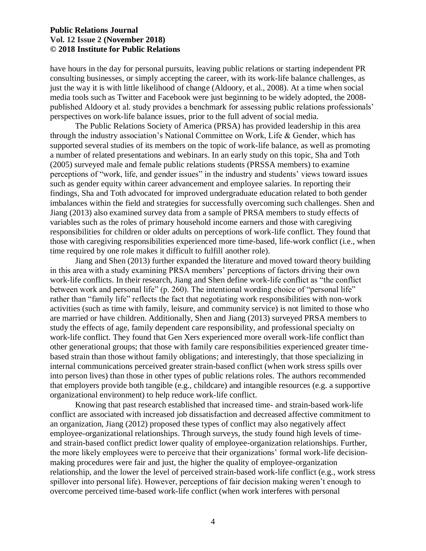have hours in the day for personal pursuits, leaving public relations or starting independent PR just the way it is with little likelihood of change (Aldoory, et al., 2008). At a time when social media tools such as Twitter and Facebook were just beginning to be widely adopted, the 2008- perspectives on work-life balance issues, prior to the full advent of social media. consulting businesses, or simply accepting the career, with its work-life balance challenges, as published Aldoory et al. study provides a benchmark for assessing public relations professionals'

 The Public Relations Society of America (PRSA) has provided leadership in this area through the industry association's National Committee on Work, Life & Gender, which has supported several studies of its members on the topic of work-life balance, as well as promoting a number of related presentations and webinars. In an early study on this topic, Sha and Toth (2005) surveyed male and female public relations students (PRSSA members) to examine perceptions of "work, life, and gender issues" in the industry and students' views toward issues findings, Sha and Toth advocated for improved undergraduate education related to both gender Jiang (2013) also examined survey data from a sample of PRSA members to study effects of variables such as the roles of primary household income earners and those with caregiving responsibilities for children or older adults on perceptions of work-life conflict. They found that time required by one role makes it difficult to fulfill another role). such as gender equity within career advancement and employee salaries. In reporting their imbalances within the field and strategies for successfully overcoming such challenges. Shen and those with caregiving responsibilities experienced more time-based, life-work conflict (i.e., when

 in this area with a study examining PRSA members' perceptions of factors driving their own between work and personal life" (p. 260). The intentional wording choice of "personal life" rather than "family life" reflects the fact that negotiating work responsibilities with non-work activities (such as time with family, leisure, and community service) is not limited to those who study the effects of age, family dependent care responsibility, and professional specialty on based strain than those without family obligations; and interestingly, that those specializing in into person lives) than those in other types of public relations roles. The authors recommended Jiang and Shen (2013) further expanded the literature and moved toward theory building work-life conflicts. In their research, Jiang and Shen define work-life conflict as "the conflict are married or have children. Additionally, Shen and Jiang (2013) surveyed PRSA members to work-life conflict. They found that Gen Xers experienced more overall work-life conflict than other generational groups; that those with family care responsibilities experienced greater timeinternal communications perceived greater strain-based conflict (when work stress spills over that employers provide both tangible (e.g., childcare) and intangible resources (e.g. a supportive organizational environment) to help reduce work-life conflict.

 conflict are associated with increased job dissatisfaction and decreased affective commitment to an organization, Jiang (2012) proposed these types of conflict may also negatively affect employee-organizational relationships. Through surveys, the study found high levels of time- making procedures were fair and just, the higher the quality of employee-organization relationship, and the lower the level of perceived strain-based work-life conflict (e.g., work stress Knowing that past research established that increased time- and strain-based work-life and strain-based conflict predict lower quality of employee-organization relationships. Further, the more likely employees were to perceive that their organizations' formal work-life decisionspillover into personal life). However, perceptions of fair decision making weren't enough to overcome perceived time-based work-life conflict (when work interferes with personal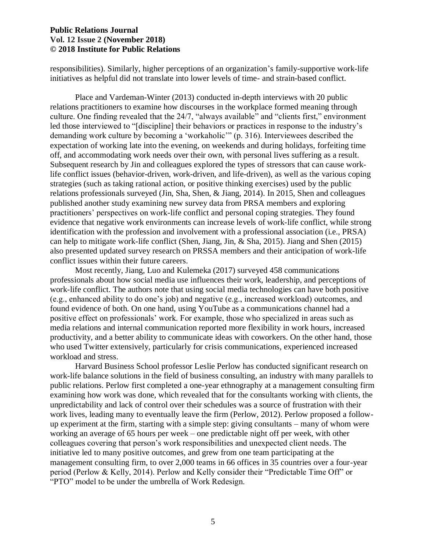responsibilities). Similarly, higher perceptions of an organization's family-supportive work-life initiatives as helpful did not translate into lower levels of time- and strain-based conflict.

 led those interviewed to "[discipline] their behaviors or practices in response to the industry's off, and accommodating work needs over their own, with personal lives suffering as a result. Subsequent research by Jin and colleagues explored the types of stressors that can cause work- life conflict issues (behavior-driven, work-driven, and life-driven), as well as the various coping published another study examining new survey data from PRSA members and exploring Place and Vardeman-Winter (2013) conducted in-depth interviews with 20 public relations practitioners to examine how discourses in the workplace formed meaning through culture. One finding revealed that the 24/7, "always available" and "clients first," environment demanding work culture by becoming a 'workaholic'" (p. 316). Interviewees described the expectation of working late into the evening, on weekends and during holidays, forfeiting time strategies (such as taking rational action, or positive thinking exercises) used by the public relations professionals surveyed (Jin, Sha, Shen, & Jiang, 2014). In 2015, Shen and colleagues practitioners' perspectives on work-life conflict and personal coping strategies. They found evidence that negative work environments can increase levels of work-life conflict, while strong identification with the profession and involvement with a professional association (i.e., PRSA) can help to mitigate work-life conflict (Shen, Jiang, Jin, & Sha, 2015). Jiang and Shen (2015) also presented updated survey research on PRSSA members and their anticipation of work-life conflict issues within their future careers.

 professionals about how social media use influences their work, leadership, and perceptions of work-life conflict. The authors note that using social media technologies can have both positive (e.g., enhanced ability to do one's job) and negative (e.g., increased workload) outcomes, and found evidence of both. On one hand, using YouTube as a communications channel had a media relations and internal communication reported more flexibility in work hours, increased productivity, and a better ability to communicate ideas with coworkers. On the other hand, those who used Twitter extensively, particularly for crisis communications, experienced increased Most recently, Jiang, Luo and Kulemeka (2017) surveyed 458 communications positive effect on professionals' work. For example, those who specialized in areas such as workload and stress.

 Harvard Business School professor Leslie Perlow has conducted significant research on work-life balance solutions in the field of business consulting, an industry with many parallels to public relations. Perlow first completed a one-year ethnography at a management consulting firm unpredictability and lack of control over their schedules was a source of frustration with their work lives, leading many to eventually leave the firm (Perlow, 2012). Perlow proposed a follow- working an average of 65 hours per week – one predictable night off per week, with other management consulting firm, to over 2,000 teams in 66 offices in 35 countries over a four-year period (Perlow & Kelly, 2014). Perlow and Kelly consider their "Predictable Time Off" or "PTO" model to be under the umbrella of Work Redesign. examining how work was done, which revealed that for the consultants working with clients, the up experiment at the firm, starting with a simple step: giving consultants – many of whom were colleagues covering that person's work responsibilities and unexpected client needs. The initiative led to many positive outcomes, and grew from one team participating at the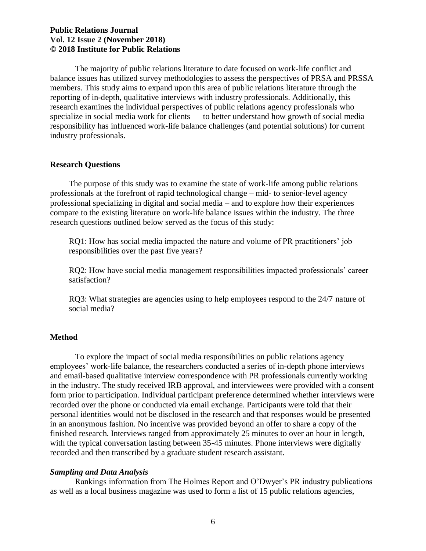members. This study aims to expand upon this area of public relations literature through the specialize in social media work for clients — to better understand how growth of social media responsibility has influenced work-life balance challenges (and potential solutions) for current The majority of public relations literature to date focused on work-life conflict and balance issues has utilized survey methodologies to assess the perspectives of PRSA and PRSSA reporting of in-depth, qualitative interviews with industry professionals. Additionally, this research examines the individual perspectives of public relations agency professionals who industry professionals.

### **Research Questions**

 professionals at the forefront of rapid technological change – mid- to senior-level agency compare to the existing literature on work-life balance issues within the industry. The three The purpose of this study was to examine the state of work-life among public relations professional specializing in digital and social media – and to explore how their experiences research questions outlined below served as the focus of this study:

 RQ1: How has social media impacted the nature and volume of PR practitioners' job responsibilities over the past five years?

RQ2: How have social media management responsibilities impacted professionals' career satisfaction?

 RQ3: What strategies are agencies using to help employees respond to the 24/7 nature of social media?

#### **Method**

 To explore the impact of social media responsibilities on public relations agency employees' work-life balance, the researchers conducted a series of in-depth phone interviews in the industry. The study received IRB approval, and interviewees were provided with a consent in an anonymous fashion. No incentive was provided beyond an offer to share a copy of the finished research. Interviews ranged from approximately 25 minutes to over an hour in length, and email-based qualitative interview correspondence with PR professionals currently working form prior to participation. Individual participant preference determined whether interviews were recorded over the phone or conducted via email exchange. Participants were told that their personal identities would not be disclosed in the research and that responses would be presented with the typical conversation lasting between 35-45 minutes. Phone interviews were digitally recorded and then transcribed by a graduate student research assistant.

#### *Sampling and Data Analysis*

 Rankings information from The Holmes Report and O'Dwyer's PR industry publications as well as a local business magazine was used to form a list of 15 public relations agencies,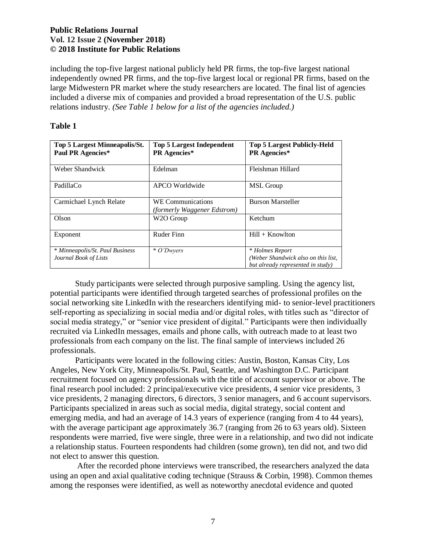including the top-five largest national publicly held PR firms, the top-five largest national independently owned PR firms, and the top-five largest local or regional PR firms, based on the large Midwestern PR market where the study researchers are located. The final list of agencies  relations industry. *(See Table 1 below for a list of the agencies included.)*  included a diverse mix of companies and provided a broad representation of the U.S. public

| Top 5 Largest Minneapolis/St.<br>Paul PR Agencies*       | <b>Top 5 Largest Independent</b><br>PR Agencies*        | <b>Top 5 Largest Publicly-Held</b><br><b>PR</b> Agencies*                                   |
|----------------------------------------------------------|---------------------------------------------------------|---------------------------------------------------------------------------------------------|
| Weber Shandwick                                          | Edelman                                                 | Fleishman Hillard                                                                           |
| PadillaCo                                                | APCO Worldwide                                          | <b>MSL</b> Group                                                                            |
| Carmichael Lynch Relate                                  | <b>WE Communications</b><br>(formerly Waggener Edstrom) | <b>Burson Marsteller</b>                                                                    |
| Olson                                                    | W2O Group                                               | Ketchum                                                                                     |
| Exponent                                                 | Ruder Finn                                              | $Hill +$ Knowlton                                                                           |
| * Minneapolis/St. Paul Business<br>Journal Book of Lists | * O'Dwyers                                              | * Holmes Report<br>(Weber Shandwick also on this list,<br>but already represented in study) |

 potential participants were identified through targeted searches of professional profiles on the social media strategy," or "senior vice president of digital." Participants were then individually recruited via LinkedIn messages, emails and phone calls, with outreach made to at least two professionals from each company on the list. The final sample of interviews included 26 Study participants were selected through purposive sampling. Using the agency list, social networking site LinkedIn with the researchers identifying mid- to senior-level practitioners self-reporting as specializing in social media and/or digital roles, with titles such as "director of professionals.

 emerging media, and had an average of 14.3 years of experience (ranging from 4 to 44 years), respondents were married, five were single, three were in a relationship, and two did not indicate not elect to answer this question. Participants were located in the following cities: Austin, Boston, Kansas City, Los Angeles, New York City, Minneapolis/St. Paul, Seattle, and Washington D.C. Participant recruitment focused on agency professionals with the title of account supervisor or above. The final research pool included: 2 principal/executive vice presidents, 4 senior vice presidents, 3 vice presidents, 2 managing directors, 6 directors, 3 senior managers, and 6 account supervisors. Participants specialized in areas such as social media, digital strategy, social content and with the average participant age approximately 36.7 (ranging from 26 to 63 years old). Sixteen a relationship status. Fourteen respondents had children (some grown), ten did not, and two did

After the recorded phone interviews were transcribed, the researchers analyzed the data using an open and axial qualitative coding technique (Strauss & Corbin, 1998). Common themes among the responses were identified, as well as noteworthy anecdotal evidence and quoted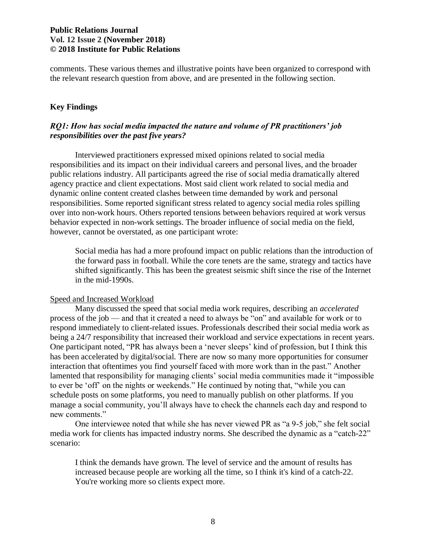comments. These various themes and illustrative points have been organized to correspond with the relevant research question from above, and are presented in the following section.

## **Key Findings**

## *RQ1: How has social media impacted the nature and volume of PR practitioners' job responsibilities over the past five years?*

 responsibilities and its impact on their individual careers and personal lives, and the broader public relations industry. All participants agreed the rise of social media dramatically altered dynamic online content created clashes between time demanded by work and personal over into non-work hours. Others reported tensions between behaviors required at work versus behavior expected in non-work settings. The broader influence of social media on the field, Interviewed practitioners expressed mixed opinions related to social media agency practice and client expectations. Most said client work related to social media and responsibilities. Some reported significant stress related to agency social media roles spilling however, cannot be overstated, as one participant wrote:

 Social media has had a more profound impact on public relations than the introduction of the forward pass in football. While the core tenets are the same, strategy and tactics have shifted significantly. This has been the greatest seismic shift since the rise of the Internet in the mid-1990s.

#### Speed and Increased Workload

 process of the job — and that it created a need to always be "on" and available for work or to respond immediately to client-related issues. Professionals described their social media work as being a 24/7 responsibility that increased their workload and service expectations in recent years. One participant noted, "PR has always been a 'never sleeps' kind of profession, but I think this has been accelerated by digital/social. There are now so many more opportunities for consumer interaction that oftentimes you find yourself faced with more work than in the past." Another to ever be 'off' on the nights or weekends." He continued by noting that, "while you can schedule posts on some platforms, you need to manually publish on other platforms. If you Many discussed the speed that social media work requires, describing an *accelerated*  lamented that responsibility for managing clients' social media communities made it "impossible manage a social community, you'll always have to check the channels each day and respond to new comments."

 One interviewee noted that while she has never viewed PR as "a 9-5 job," she felt social scenario: media work for clients has impacted industry norms. She described the dynamic as a "catch-22"

 I think the demands have grown. The level of service and the amount of results has increased because people are working all the time, so I think it's kind of a catch-22. You're working more so clients expect more.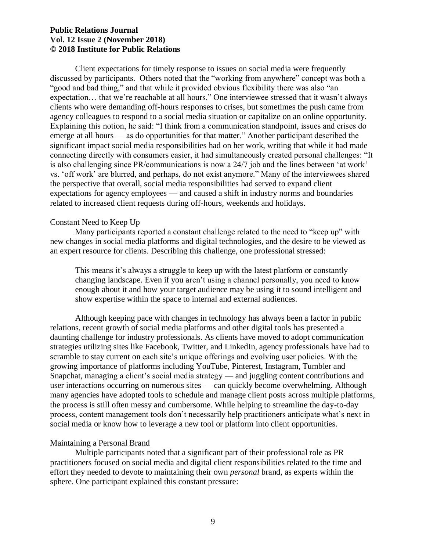Client expectations for timely response to issues on social media were frequently discussed by participants. Others noted that the "working from anywhere" concept was both a "good and bad thing," and that while it provided obvious flexibility there was also "an expectation… that we're reachable at all hours." One interviewee stressed that it wasn't always clients who were demanding off-hours responses to crises, but sometimes the push came from agency colleagues to respond to a social media situation or capitalize on an online opportunity. emerge at all hours — as do opportunities for that matter." Another participant described the significant impact social media responsibilities had on her work, writing that while it had made connecting directly with consumers easier, it had simultaneously created personal challenges: "It is also challenging since PR/communications is now a 24/7 job and the lines between 'at work' vs. 'off work' are blurred, and perhaps, do not exist anymore." Many of the interviewees shared the perspective that overall, social media responsibilities had served to expand client expectations for agency employees — and caused a shift in industry norms and boundaries Explaining this notion, he said: "I think from a communication standpoint, issues and crises do related to increased client requests during off-hours, weekends and holidays.

#### Constant Need to Keep Up

 Many participants reported a constant challenge related to the need to "keep up" with new changes in social media platforms and digital technologies, and the desire to be viewed as an expert resource for clients. Describing this challenge, one professional stressed:

 This means it's always a struggle to keep up with the latest platform or constantly changing landscape. Even if you aren't using a channel personally, you need to know enough about it and how your target audience may be using it to sound intelligent and show expertise within the space to internal and external audiences.

 Although keeping pace with changes in technology has always been a factor in public relations, recent growth of social media platforms and other digital tools has presented a strategies utilizing sites like Facebook, Twitter, and LinkedIn, agency professionals have had to scramble to stay current on each site's unique offerings and evolving user policies. With the growing importance of platforms including YouTube, Pinterest, Instagram, Tumbler and many agencies have adopted tools to schedule and manage client posts across multiple platforms, the process is still often messy and cumbersome. While helping to streamline the day-to-day process, content management tools don't necessarily help practitioners anticipate what's next in social media or know how to leverage a new tool or platform into client opportunities. daunting challenge for industry professionals. As clients have moved to adopt communication Snapchat, managing a client's social media strategy — and juggling content contributions and user interactions occurring on numerous sites — can quickly become overwhelming. Although

#### Maintaining a Personal Brand

 Multiple participants noted that a significant part of their professional role as PR practitioners focused on social media and digital client responsibilities related to the time and effort they needed to devote to maintaining their own *personal* brand, as experts within the sphere. One participant explained this constant pressure: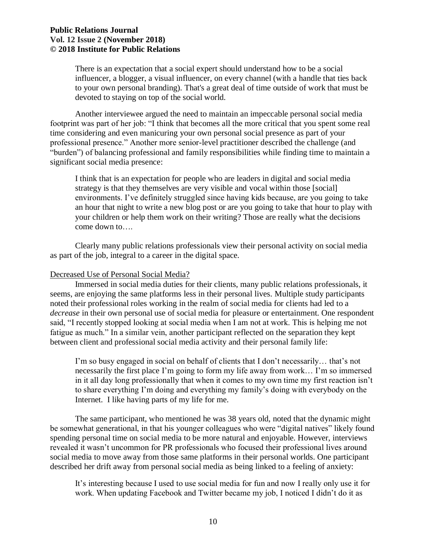There is an expectation that a social expert should understand how to be a social influencer, a blogger, a visual influencer, on every channel (with a handle that ties back to your own personal branding). That's a great deal of time outside of work that must be devoted to staying on top of the social world.

 Another interviewee argued the need to maintain an impeccable personal social media footprint was part of her job: "I think that becomes all the more critical that you spent some real time considering and even manicuring your own personal social presence as part of your "burden") of balancing professional and family responsibilities while finding time to maintain a professional presence." Another more senior-level practitioner described the challenge (and significant social media presence:

 I think that is an expectation for people who are leaders in digital and social media strategy is that they themselves are very visible and vocal within those [social] environments. I've definitely struggled since having kids because, are you going to take an hour that night to write a new blog post or are you going to take that hour to play with your children or help them work on their writing? Those are really what the decisions come down to….

 as part of the job, integral to a career in the digital space. Clearly many public relations professionals view their personal activity on social media

#### Decreased Use of Personal Social Media?

 seems, are enjoying the same platforms less in their personal lives. Multiple study participants *decrease* in their own personal use of social media for pleasure or entertainment. One respondent said, "I recently stopped looking at social media when I am not at work. This is helping me not fatigue as much." In a similar vein, another participant reflected on the separation they kept between client and professional social media activity and their personal family life: Immersed in social media duties for their clients, many public relations professionals, it noted their professional roles working in the realm of social media for clients had led to a

 I'm so busy engaged in social on behalf of clients that I don't necessarily… that's not necessarily the first place I'm going to form my life away from work… I'm so immersed in it all day long professionally that when it comes to my own time my first reaction isn't to share everything I'm doing and everything my family's doing with everybody on the Internet. I like having parts of my life for me.

 be somewhat generational, in that his younger colleagues who were "digital natives" likely found spending personal time on social media to be more natural and enjoyable. However, interviews social media to move away from those same platforms in their personal worlds. One participant described her drift away from personal social media as being linked to a feeling of anxiety: The same participant, who mentioned he was 38 years old, noted that the dynamic might revealed it wasn't uncommon for PR professionals who focused their professional lives around

 It's interesting because I used to use social media for fun and now I really only use it for work. When updating Facebook and Twitter became my job, I noticed I didn't do it as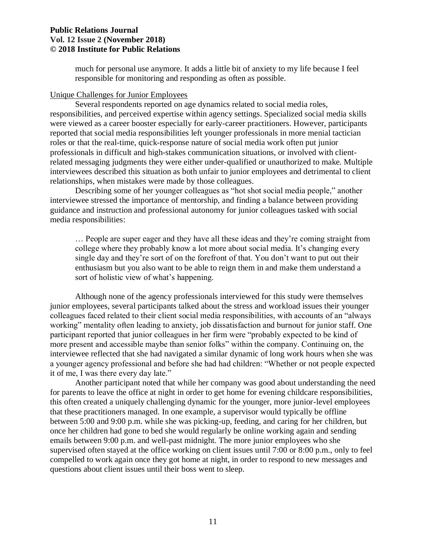much for personal use anymore. It adds a little bit of anxiety to my life because I feel responsible for monitoring and responding as often as possible.

#### Unique Challenges for Junior Employees

 responsibilities, and perceived expertise within agency settings. Specialized social media skills reported that social media responsibilities left younger professionals in more menial tactician roles or that the real-time, quick-response nature of social media work often put junior Several respondents reported on age dynamics related to social media roles, were viewed as a career booster especially for early-career practitioners. However, participants professionals in difficult and high-stakes communication situations, or involved with clientrelated messaging judgments they were either under-qualified or unauthorized to make. Multiple interviewees described this situation as both unfair to junior employees and detrimental to client relationships, when mistakes were made by those colleagues.

 Describing some of her younger colleagues as "hot shot social media people," another interviewee stressed the importance of mentorship, and finding a balance between providing guidance and instruction and professional autonomy for junior colleagues tasked with social media responsibilities:

 … People are super eager and they have all these ideas and they're coming straight from college where they probably know a lot more about social media. It's changing every single day and they're sort of on the forefront of that. You don't want to put out their enthusiasm but you also want to be able to reign them in and make them understand a sort of holistic view of what's happening.

 Although none of the agency professionals interviewed for this study were themselves colleagues faced related to their client social media responsibilities, with accounts of an "always working" mentality often leading to anxiety, job dissatisfaction and burnout for junior staff. One participant reported that junior colleagues in her firm were "probably expected to be kind of interviewee reflected that she had navigated a similar dynamic of long work hours when she was it of me, I was there every day late." junior employees, several participants talked about the stress and workload issues their younger more present and accessible maybe than senior folks" within the company. Continuing on, the a younger agency professional and before she had had children: "Whether or not people expected

 for parents to leave the office at night in order to get home for evening childcare responsibilities, this often created a uniquely challenging dynamic for the younger, more junior-level employees that these practitioners managed. In one example, a supervisor would typically be offline once her children had gone to bed she would regularly be online working again and sending emails between 9:00 p.m. and well-past midnight. The more junior employees who she supervised often stayed at the office working on client issues until 7:00 or 8:00 p.m., only to feel compelled to work again once they got home at night, in order to respond to new messages and questions about client issues until their boss went to sleep. Another participant noted that while her company was good about understanding the need between 5:00 and 9:00 p.m. while she was picking-up, feeding, and caring for her children, but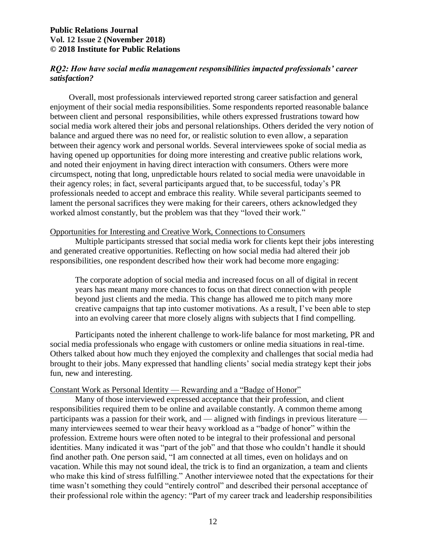## *RQ2: How have social media management responsibilities impacted professionals' career satisfaction?*

 between client and personal responsibilities, while others expressed frustrations toward how social media work altered their jobs and personal relationships. Others derided the very notion of balance and argued there was no need for, or realistic solution to even allow, a separation between their agency work and personal worlds. Several interviewees spoke of social media as and noted their enjoyment in having direct interaction with consumers. Others were more their agency roles; in fact, several participants argued that, to be successful, today's PR Overall, most professionals interviewed reported strong career satisfaction and general enjoyment of their social media responsibilities. Some respondents reported reasonable balance having opened up opportunities for doing more interesting and creative public relations work, circumspect, noting that long, unpredictable hours related to social media were unavoidable in professionals needed to accept and embrace this reality. While several participants seemed to lament the personal sacrifices they were making for their careers, others acknowledged they worked almost constantly, but the problem was that they "loved their work."

#### Opportunities for Interesting and Creative Work, Connections to Consumers

 responsibilities, one respondent described how their work had become more engaging: Multiple participants stressed that social media work for clients kept their jobs interesting and generated creative opportunities. Reflecting on how social media had altered their job

 The corporate adoption of social media and increased focus on all of digital in recent years has meant many more chances to focus on that direct connection with people beyond just clients and the media. This change has allowed me to pitch many more into an evolving career that more closely aligns with subjects that I find compelling. creative campaigns that tap into customer motivations. As a result, I've been able to step

 Participants noted the inherent challenge to work-life balance for most marketing, PR and social media professionals who engage with customers or online media situations in real-time. Others talked about how much they enjoyed the complexity and challenges that social media had brought to their jobs. Many expressed that handling clients' social media strategy kept their jobs fun, new and interesting.

#### Constant Work as Personal Identity — Rewarding and a "Badge of Honor"

 Many of those interviewed expressed acceptance that their profession, and client participants was a passion for their work, and — aligned with findings in previous literature — many interviewees seemed to wear their heavy workload as a "badge of honor" within the profession. Extreme hours were often noted to be integral to their professional and personal identities. Many indicated it was "part of the job" and that those who couldn't handle it should find another path. One person said, "I am connected at all times, even on holidays and on vacation. While this may not sound ideal, the trick is to find an organization, a team and clients time wasn't something they could "entirely control" and described their personal acceptance of their professional role within the agency: "Part of my career track and leadership responsibilities responsibilities required them to be online and available constantly. A common theme among who make this kind of stress fulfilling." Another interviewee noted that the expectations for their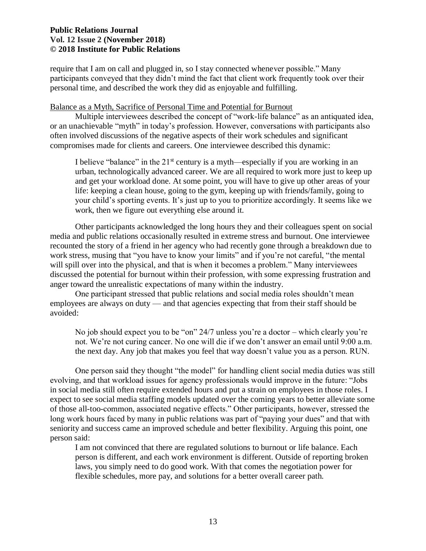require that I am on call and plugged in, so I stay connected whenever possible." Many participants conveyed that they didn't mind the fact that client work frequently took over their personal time, and described the work they did as enjoyable and fulfilling.

#### Balance as a Myth, Sacrifice of Personal Time and Potential for Burnout

 Multiple interviewees described the concept of "work-life balance" as an antiquated idea, often involved discussions of the negative aspects of their work schedules and significant or an unachievable "myth" in today's profession. However, conversations with participants also compromises made for clients and careers. One interviewee described this dynamic:

I believe "balance" in the  $21<sup>st</sup>$  century is a myth—especially if you are working in an urban, technologically advanced career. We are all required to work more just to keep up and get your workload done. At some point, you will have to give up other areas of your your child's sporting events. It's just up to you to prioritize accordingly. It seems like we work, then we figure out everything else around it. life: keeping a clean house, going to the gym, keeping up with friends/family, going to

 media and public relations occasionally resulted in extreme stress and burnout. One interviewee recounted the story of a friend in her agency who had recently gone through a breakdown due to work stress, musing that "you have to know your limits" and if you're not careful, "the mental will spill over into the physical, and that is when it becomes a problem." Many interviewees anger toward the unrealistic expectations of many within the industry. Other participants acknowledged the long hours they and their colleagues spent on social discussed the potential for burnout within their profession, with some expressing frustration and

 employees are always on duty — and that agencies expecting that from their staff should be One participant stressed that public relations and social media roles shouldn't mean avoided:

 No job should expect you to be "on" 24/7 unless you're a doctor – which clearly you're not. We're not curing cancer. No one will die if we don't answer an email until 9:00 a.m. the next day. Any job that makes you feel that way doesn't value you as a person. RUN.

 evolving, and that workload issues for agency professionals would improve in the future: "Jobs in social media still often require extended hours and put a strain on employees in those roles. I long work hours faced by many in public relations was part of "paying your dues" and that with seniority and success came an improved schedule and better flexibility. Arguing this point, one One person said they thought "the model" for handling client social media duties was still expect to see social media staffing models updated over the coming years to better alleviate some of those all-too-common, associated negative effects." Other participants, however, stressed the person said:

 I am not convinced that there are regulated solutions to burnout or life balance. Each laws, you simply need to do good work. With that comes the negotiation power for person is different, and each work environment is different. Outside of reporting broken flexible schedules, more pay, and solutions for a better overall career path.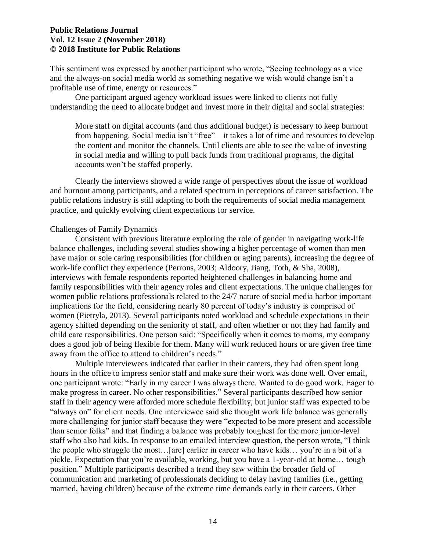This sentiment was expressed by another participant who wrote, "Seeing technology as a vice and the always-on social media world as something negative we wish would change isn't a profitable use of time, energy or resources."

 One participant argued agency workload issues were linked to clients not fully understanding the need to allocate budget and invest more in their digital and social strategies:

 More staff on digital accounts (and thus additional budget) is necessary to keep burnout from happening. Social media isn't "free"—it takes a lot of time and resources to develop the content and monitor the channels. Until clients are able to see the value of investing in social media and willing to pull back funds from traditional programs, the digital accounts won't be staffed properly.

 Clearly the interviews showed a wide range of perspectives about the issue of workload public relations industry is still adapting to both the requirements of social media management and burnout among participants, and a related spectrum in perceptions of career satisfaction. The practice, and quickly evolving client expectations for service.

#### Challenges of Family Dynamics

 have major or sole caring responsibilities (for children or aging parents), increasing the degree of women public relations professionals related to the 24/7 nature of social media harbor important implications for the field, considering nearly 80 percent of today's industry is comprised of does a good job of being flexible for them. Many will work reduced hours or are given free time away from the office to attend to children's needs." Consistent with previous literature exploring the role of gender in navigating work-life balance challenges, including several studies showing a higher percentage of women than men work-life conflict they experience (Perrons, 2003; Aldoory, Jiang, Toth, & Sha, 2008), interviews with female respondents reported heightened challenges in balancing home and family responsibilities with their agency roles and client expectations. The unique challenges for women (Pietryla, 2013). Several participants noted workload and schedule expectations in their agency shifted depending on the seniority of staff, and often whether or not they had family and child care responsibilities. One person said: "Specifically when it comes to moms, my company

 hours in the office to impress senior staff and make sure their work was done well. Over email, "always on" for client needs. One interviewee said she thought work life balance was generally more challenging for junior staff because they were "expected to be more present and accessible than senior folks" and that finding a balance was probably toughest for the more junior-level staff who also had kids. In response to an emailed interview question, the person wrote, "I think the people who struggle the most…[are] earlier in career who have kids… you're in a bit of a married, having children) because of the extreme time demands early in their careers. Other Multiple interviewees indicated that earlier in their careers, they had often spent long one participant wrote: "Early in my career I was always there. Wanted to do good work. Eager to make progress in career. No other responsibilities." Several participants described how senior staff in their agency were afforded more schedule flexibility, but junior staff was expected to be pickle. Expectation that you're available, working, but you have a 1-year-old at home… tough position." Multiple participants described a trend they saw within the broader field of communication and marketing of professionals deciding to delay having families (i.e., getting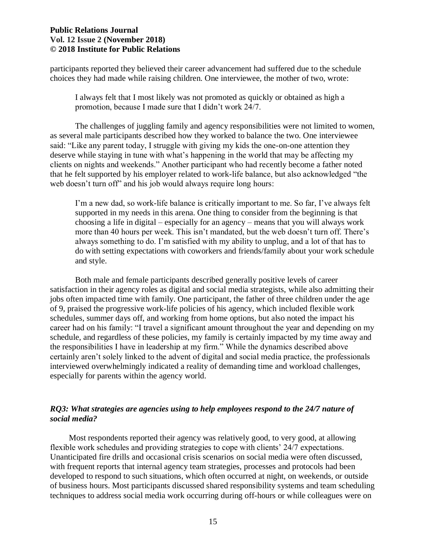choices they had made while raising children. One interviewee, the mother of two, wrote: participants reported they believed their career advancement had suffered due to the schedule

 I always felt that I most likely was not promoted as quickly or obtained as high a promotion, because I made sure that I didn't work 24/7.

 The challenges of juggling family and agency responsibilities were not limited to women, as several male participants described how they worked to balance the two. One interviewee said: "Like any parent today, I struggle with giving my kids the one-on-one attention they that he felt supported by his employer related to work-life balance, but also acknowledged "the web doesn't turn off" and his job would always require long hours: deserve while staying in tune with what's happening in the world that may be affecting my clients on nights and weekends." Another participant who had recently become a father noted

 I'm a new dad, so work-life balance is critically important to me. So far, I've always felt supported in my needs in this arena. One thing to consider from the beginning is that choosing a life in digital – especially for an agency – means that you will always work more than 40 hours per week. This isn't mandated, but the web doesn't turn off. There's always something to do. I'm satisfied with my ability to unplug, and a lot of that has to do with setting expectations with coworkers and friends/family about your work schedule and style.

 Both male and female participants described generally positive levels of career jobs often impacted time with family. One participant, the father of three children under the age schedules, summer days off, and working from home options, but also noted the impact his career had on his family: "I travel a significant amount throughout the year and depending on my schedule, and regardless of these policies, my family is certainly impacted by my time away and the responsibilities I have in leadership at my firm." While the dynamics described above certainly aren't solely linked to the advent of digital and social media practice, the professionals satisfaction in their agency roles as digital and social media strategists, while also admitting their of 9, praised the progressive work-life policies of his agency, which included flexible work interviewed overwhelmingly indicated a reality of demanding time and workload challenges, especially for parents within the agency world.

## *RQ3: What strategies are agencies using to help employees respond to the 24/7 nature of social media?*

 with frequent reports that internal agency team strategies, processes and protocols had been developed to respond to such situations, which often occurred at night, on weekends, or outside techniques to address social media work occurring during off-hours or while colleagues were on Most respondents reported their agency was relatively good, to very good, at allowing flexible work schedules and providing strategies to cope with clients' 24/7 expectations. Unanticipated fire drills and occasional crisis scenarios on social media were often discussed, of business hours. Most participants discussed shared responsibility systems and team scheduling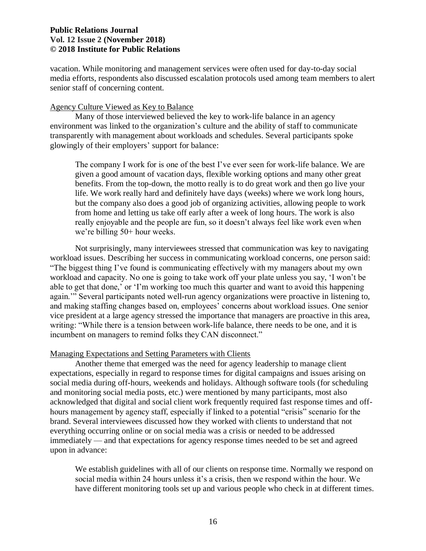vacation. While monitoring and management services were often used for day-to-day social media efforts, respondents also discussed escalation protocols used among team members to alert senior staff of concerning content.

#### Agency Culture Viewed as Key to Balance

 Many of those interviewed believed the key to work-life balance in an agency environment was linked to the organization's culture and the ability of staff to communicate transparently with management about workloads and schedules. Several participants spoke glowingly of their employers' support for balance:

 The company I work for is one of the best I've ever seen for work-life balance. We are given a good amount of vacation days, flexible working options and many other great benefits. From the top-down, the motto really is to do great work and then go live your but the company also does a good job of organizing activities, allowing people to work from home and letting us take off early after a week of long hours. The work is also really enjoyable and the people are fun, so it doesn't always feel like work even when life. We work really hard and definitely have days (weeks) where we work long hours, we're billing 50+ hour weeks.

 Not surprisingly, many interviewees stressed that communication was key to navigating "The biggest thing I've found is communicating effectively with my managers about my own workload and capacity. No one is going to take work off your plate unless you say, 'I won't be again.'" Several participants noted well-run agency organizations were proactive in listening to, vice president at a large agency stressed the importance that managers are proactive in this area, writing: "While there is a tension between work-life balance, there needs to be one, and it is workload issues. Describing her success in communicating workload concerns, one person said: able to get that done,' or 'I'm working too much this quarter and want to avoid this happening and making staffing changes based on, employees' concerns about workload issues. One senior incumbent on managers to remind folks they CAN disconnect."

#### Managing Expectations and Setting Parameters with Clients

 and monitoring social media posts, etc.) were mentioned by many participants, most also hours management by agency staff, especially if linked to a potential "crisis" scenario for the brand. Several interviewees discussed how they worked with clients to understand that not immediately — and that expectations for agency response times needed to be set and agreed upon in advance: Another theme that emerged was the need for agency leadership to manage client expectations, especially in regard to response times for digital campaigns and issues arising on social media during off-hours, weekends and holidays. Although software tools (for scheduling acknowledged that digital and social client work frequently required fast response times and offeverything occurring online or on social media was a crisis or needed to be addressed

 We establish guidelines with all of our clients on response time. Normally we respond on social media within 24 hours unless it's a crisis, then we respond within the hour. We have different monitoring tools set up and various people who check in at different times.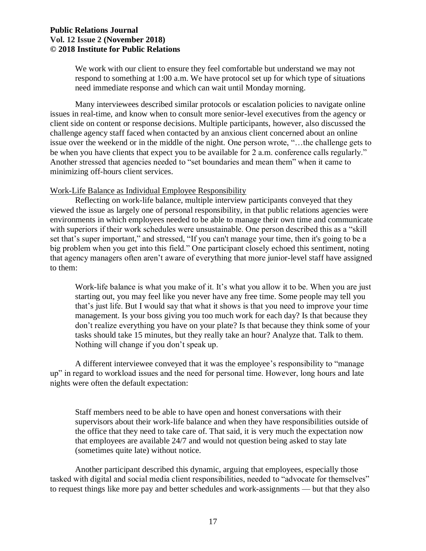We work with our client to ensure they feel comfortable but understand we may not respond to something at 1:00 a.m. We have protocol set up for which type of situations need immediate response and which can wait until Monday morning.

 Many interviewees described similar protocols or escalation policies to navigate online issues in real-time, and know when to consult more senior-level executives from the agency or client side on content or response decisions. Multiple participants, however, also discussed the challenge agency staff faced when contacted by an anxious client concerned about an online issue over the weekend or in the middle of the night. One person wrote, "…the challenge gets to Another stressed that agencies needed to "set boundaries and mean them" when it came to be when you have clients that expect you to be available for 2 a.m. conference calls regularly." minimizing off-hours client services.

#### Work-Life Balance as Individual Employee Responsibility

 viewed the issue as largely one of personal responsibility, in that public relations agencies were environments in which employees needed to be able to manage their own time and communicate with superiors if their work schedules were unsustainable. One person described this as a "skill big problem when you get into this field." One participant closely echoed this sentiment, noting that agency managers often aren't aware of everything that more junior-level staff have assigned Reflecting on work-life balance, multiple interview participants conveyed that they set that's super important," and stressed, "If you can't manage your time, then it's going to be a to them:

 Work-life balance is what you make of it. It's what you allow it to be. When you are just starting out, you may feel like you never have any free time. Some people may tell you that's just life. But I would say that what it shows is that you need to improve your time don't realize everything you have on your plate? Is that because they think some of your tasks should take 15 minutes, but they really take an hour? Analyze that. Talk to them. Nothing will change if you don't speak up. management. Is your boss giving you too much work for each day? Is that because they

 nights were often the default expectation: A different interviewee conveyed that it was the employee's responsibility to "manage up" in regard to workload issues and the need for personal time. However, long hours and late

 Staff members need to be able to have open and honest conversations with their supervisors about their work-life balance and when they have responsibilities outside of the office that they need to take care of. That said, it is very much the expectation now that employees are available 24/7 and would not question being asked to stay late (sometimes quite late) without notice.

 to request things like more pay and better schedules and work-assignments — but that they also Another participant described this dynamic, arguing that employees, especially those tasked with digital and social media client responsibilities, needed to "advocate for themselves"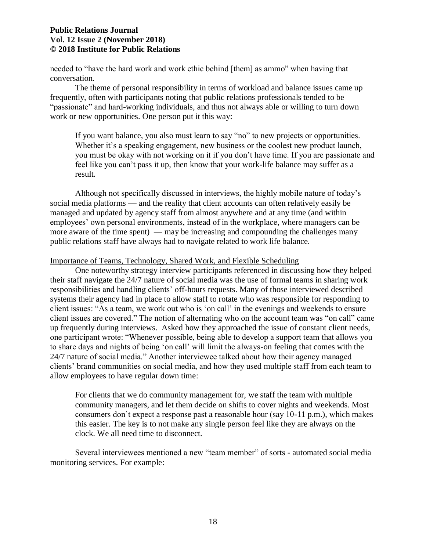needed to "have the hard work and work ethic behind [them] as ammo" when having that conversation.

 The theme of personal responsibility in terms of workload and balance issues came up "passionate" and hard-working individuals, and thus not always able or willing to turn down work or new opportunities. One person put it this way: frequently, often with participants noting that public relations professionals tended to be

 If you want balance, you also must learn to say "no" to new projects or opportunities. Whether it's a speaking engagement, new business or the coolest new product launch, you must be okay with not working on it if you don't have time. If you are passionate and feel like you can't pass it up, then know that your work-life balance may suffer as a result.

 Although not specifically discussed in interviews, the highly mobile nature of today's managed and updated by agency staff from almost anywhere and at any time (and within more aware of the time spent) — may be increasing and compounding the challenges many public relations staff have always had to navigate related to work life balance. social media platforms — and the reality that client accounts can often relatively easily be employees' own personal environments, instead of in the workplace, where managers can be

## Importance of Teams, Technology, Shared Work, and Flexible Scheduling

 their staff navigate the 24/7 nature of social media was the use of formal teams in sharing work responsibilities and handling clients' off-hours requests. Many of those interviewed described client issues: "As a team, we work out who is 'on call' in the evenings and weekends to ensure client issues are covered." The notion of alternating who on the account team was "on call" came up frequently during interviews. Asked how they approached the issue of constant client needs, one participant wrote: "Whenever possible, being able to develop a support team that allows you to share days and nights of being 'on call' will limit the always-on feeling that comes with the 24/7 nature of social media." Another interviewee talked about how their agency managed One noteworthy strategy interview participants referenced in discussing how they helped systems their agency had in place to allow staff to rotate who was responsible for responding to clients' brand communities on social media, and how they used multiple staff from each team to allow employees to have regular down time:

 For clients that we do community management for, we staff the team with multiple consumers don't expect a response past a reasonable hour (say 10-11 p.m.), which makes this easier. The key is to not make any single person feel like they are always on the clock. We all need time to disconnect. community managers, and let them decide on shifts to cover nights and weekends. Most

Several interviewees mentioned a new "team member" of sorts - automated social media monitoring services. For example: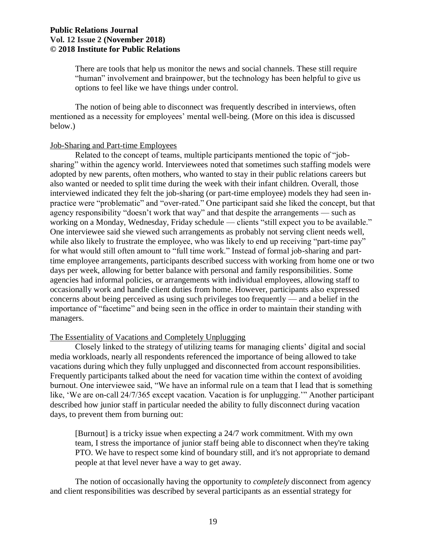"human" involvement and brainpower, but the technology has been helpful to give us options to feel like we have things under control. There are tools that help us monitor the news and social channels. These still require

 The notion of being able to disconnect was frequently described in interviews, often mentioned as a necessity for employees' mental well-being. (More on this idea is discussed below.)

#### Job-Sharing and Part-time Employees

 adopted by new parents, often mothers, who wanted to stay in their public relations careers but also wanted or needed to split time during the week with their infant children. Overall, those interviewed indicated they felt the job-sharing (or part-time employee) models they had seen inwhile also likely to frustrate the employee, who was likely to end up receiving "part-time pay" for what would still often amount to "full time work." Instead of formal job-sharing and part- time employee arrangements, participants described success with working from home one or two agencies had informal policies, or arrangements with individual employees, allowing staff to occasionally work and handle client duties from home. However, participants also expressed concerns about being perceived as using such privileges too frequently — and a belief in the importance of "facetime" and being seen in the office in order to maintain their standing with Related to the concept of teams, multiple participants mentioned the topic of "jobsharing" within the agency world. Interviewees noted that sometimes such staffing models were practice were "problematic" and "over-rated." One participant said she liked the concept, but that agency responsibility "doesn't work that way" and that despite the arrangements — such as working on a Monday, Wednesday, Friday schedule — clients "still expect you to be available." One interviewee said she viewed such arrangements as probably not serving client needs well, days per week, allowing for better balance with personal and family responsibilities. Some managers.

## The Essentiality of Vacations and Completely Unplugging

 Closely linked to the strategy of utilizing teams for managing clients' digital and social media workloads, nearly all respondents referenced the importance of being allowed to take burnout. One interviewee said, "We have an informal rule on a team that I lead that is something like, 'We are on-call 24/7/365 except vacation. Vacation is for unplugging.'" Another participant described how junior staff in particular needed the ability to fully disconnect during vacation days, to prevent them from burning out: vacations during which they fully unplugged and disconnected from account responsibilities. Frequently participants talked about the need for vacation time within the context of avoiding

 [Burnout] is a tricky issue when expecting a 24/7 work commitment. With my own team, I stress the importance of junior staff being able to disconnect when they're taking people at that level never have a way to get away. PTO. We have to respect some kind of boundary still, and it's not appropriate to demand

 The notion of occasionally having the opportunity to *completely* disconnect from agency and client responsibilities was described by several participants as an essential strategy for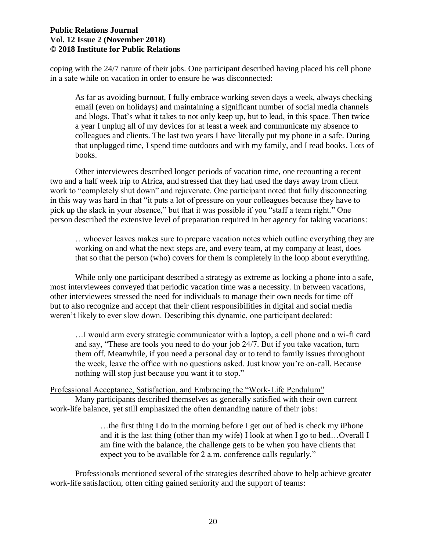coping with the 24/7 nature of their jobs. One participant described having placed his cell phone in a safe while on vacation in order to ensure he was disconnected:

 email (even on holidays) and maintaining a significant number of social media channels and blogs. That's what it takes to not only keep up, but to lead, in this space. Then twice a year I unplug all of my devices for at least a week and communicate my absence to colleagues and clients. The last two years I have literally put my phone in a safe. During that unplugged time, I spend time outdoors and with my family, and I read books. Lots of As far as avoiding burnout, I fully embrace working seven days a week, always checking books.

 Other interviewees described longer periods of vacation time, one recounting a recent two and a half week trip to Africa, and stressed that they had used the days away from client work to "completely shut down" and rejuvenate. One participant noted that fully disconnecting in this way was hard in that "it puts a lot of pressure on your colleagues because they have to pick up the slack in your absence," but that it was possible if you "staff a team right." One person described the extensive level of preparation required in her agency for taking vacations:

 working on and what the next steps are, and every team, at my company at least, does that so that the person (who) covers for them is completely in the loop about everything. …whoever leaves makes sure to prepare vacation notes which outline everything they are

 While only one participant described a strategy as extreme as locking a phone into a safe, other interviewees stressed the need for individuals to manage their own needs for time off — but to also recognize and accept that their client responsibilities in digital and social media weren't likely to ever slow down. Describing this dynamic, one participant declared: most interviewees conveyed that periodic vacation time was a necessity. In between vacations,

 …I would arm every strategic communicator with a laptop, a cell phone and a wi-fi card and say, "These are tools you need to do your job 24/7. But if you take vacation, turn them off. Meanwhile, if you need a personal day or to tend to family issues throughout the week, leave the office with no questions asked. Just know you're on-call. Because nothing will stop just because you want it to stop."

Professional Acceptance, Satisfaction, and Embracing the "Work-Life Pendulum" Many participants described themselves as generally satisfied with their own current work-life balance, yet still emphasized the often demanding nature of their jobs:

> …the first thing I do in the morning before I get out of bed is check my iPhone and it is the last thing (other than my wife) I look at when I go to bed…Overall I am fine with the balance, the challenge gets to be when you have clients that expect you to be available for 2 a.m. conference calls regularly."

Professionals mentioned several of the strategies described above to help achieve greater work-life satisfaction, often citing gained seniority and the support of teams: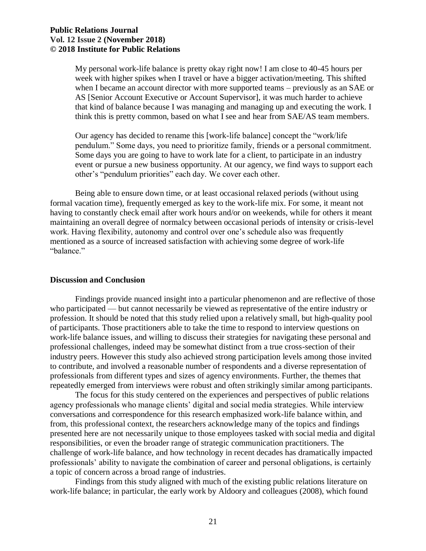My personal work-life balance is pretty okay right now! I am close to 40-45 hours per week with higher spikes when I travel or have a bigger activation/meeting. This shifted when I became an account director with more supported teams – previously as an SAE or AS [Senior Account Executive or Account Supervisor], it was much harder to achieve that kind of balance because I was managing and managing up and executing the work. I think this is pretty common, based on what I see and hear from SAE/AS team members.

 Some days you are going to have to work late for a client, to participate in an industry event or pursue a new business opportunity. At our agency, we find ways to support each Our agency has decided to rename this [work-life balance] concept the "work/life pendulum." Some days, you need to prioritize family, friends or a personal commitment. other's "pendulum priorities" each day. We cover each other.

 Being able to ensure down time, or at least occasional relaxed periods (without using formal vacation time), frequently emerged as key to the work-life mix. For some, it meant not having to constantly check email after work hours and/or on weekends, while for others it meant maintaining an overall degree of normalcy between occasional periods of intensity or crisis-level work. Having flexibility, autonomy and control over one's schedule also was frequently mentioned as a source of increased satisfaction with achieving some degree of work-life "balance."

## **Discussion and Conclusion**

 Findings provide nuanced insight into a particular phenomenon and are reflective of those who participated — but cannot necessarily be viewed as representative of the entire industry or profession. It should be noted that this study relied upon a relatively small, but high-quality pool of participants. Those practitioners able to take the time to respond to interview questions on professional challenges, indeed may be somewhat distinct from a true cross-section of their to contribute, and involved a reasonable number of respondents and a diverse representation of professionals from different types and sizes of agency environments. Further, the themes that work-life balance issues, and willing to discuss their strategies for navigating these personal and industry peers. However this study also achieved strong participation levels among those invited repeatedly emerged from interviews were robust and often strikingly similar among participants.

 The focus for this study centered on the experiences and perspectives of public relations agency professionals who manage clients' digital and social media strategies. While interview from, this professional context, the researchers acknowledge many of the topics and findings presented here are not necessarily unique to those employees tasked with social media and digital professionals' ability to navigate the combination of career and personal obligations, is certainly a topic of concern across a broad range of industries. conversations and correspondence for this research emphasized work-life balance within, and responsibilities, or even the broader range of strategic communication practitioners. The challenge of work-life balance, and how technology in recent decades has dramatically impacted

 Findings from this study aligned with much of the existing public relations literature on work-life balance; in particular, the early work by Aldoory and colleagues (2008), which found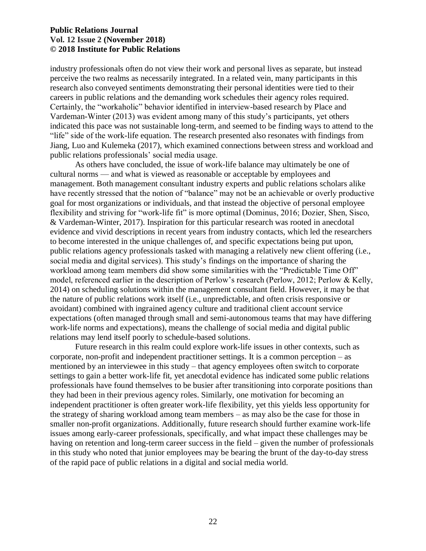industry professionals often do not view their work and personal lives as separate, but instead perceive the two realms as necessarily integrated. In a related vein, many participants in this Vardeman-Winter (2013) was evident among many of this study's participants, yet others indicated this pace was not sustainable long-term, and seemed to be finding ways to attend to the "life" side of the work-life equation. The research presented also resonates with findings from research also conveyed sentiments demonstrating their personal identities were tied to their careers in public relations and the demanding work schedules their agency roles required. Certainly, the "workaholic" behavior identified in interview-based research by Place and Jiang, Luo and Kulemeka (2017), which examined connections between stress and workload and public relations professionals' social media usage.

 As others have concluded, the issue of work-life balance may ultimately be one of cultural norms — and what is viewed as reasonable or acceptable by employees and management. Both management consultant industry experts and public relations scholars alike have recently stressed that the notion of "balance" may not be an achievable or overly productive goal for most organizations or individuals, and that instead the objective of personal employee flexibility and striving for "work-life fit" is more optimal (Dominus, 2016; Dozier, Shen, Sisco, & Vardeman-Winter, 2017). Inspiration for this particular research was rooted in anecdotal evidence and vivid descriptions in recent years from industry contacts, which led the researchers public relations agency professionals tasked with managing a relatively new client offering (i.e., social media and digital services). This study's findings on the importance of sharing the 2014) on scheduling solutions within the management consultant field. However, it may be that the nature of public relations work itself (i.e., unpredictable, and often crisis responsive or work-life norms and expectations), means the challenge of social media and digital public relations may lend itself poorly to schedule-based solutions. to become interested in the unique challenges of, and specific expectations being put upon, workload among team members did show some similarities with the "Predictable Time Off" model, referenced earlier in the description of Perlow's research (Perlow, 2012; Perlow & Kelly, avoidant) combined with ingrained agency culture and traditional client account service expectations (often managed through small and semi-autonomous teams that may have differing

 Future research in this realm could explore work-life issues in other contexts, such as corporate, non-profit and independent practitioner settings. It is a common perception – as mentioned by an interviewee in this study – that agency employees often switch to corporate settings to gain a better work-life fit, yet anecdotal evidence has indicated some public relations professionals have found themselves to be busier after transitioning into corporate positions than they had been in their previous agency roles. Similarly, one motivation for becoming an independent practitioner is often greater work-life flexibility, yet this yields less opportunity for the strategy of sharing workload among team members – as may also be the case for those in issues among early-career professionals, specifically, and what impact these challenges may be having on retention and long-term career success in the field – given the number of professionals in this study who noted that junior employees may be bearing the brunt of the day-to-day stress smaller non-profit organizations. Additionally, future research should further examine work-life of the rapid pace of public relations in a digital and social media world.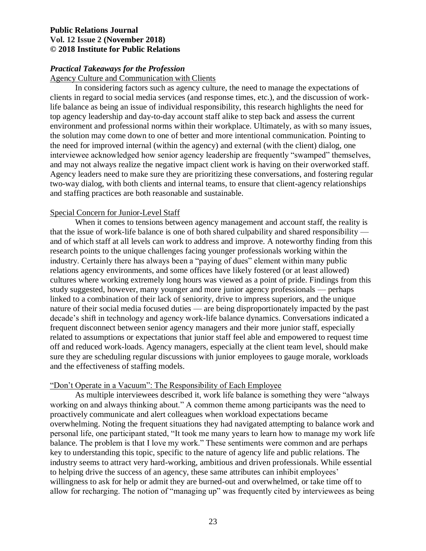## *Practical Takeaways for the Profession*

Agency Culture and Communication with Clients

 In considering factors such as agency culture, the need to manage the expectations of life balance as being an issue of individual responsibility, this research highlights the need for the solution may come down to one of better and more intentional communication. Pointing to and may not always realize the negative impact client work is having on their overworked staff. clients in regard to social media services (and response times, etc.), and the discussion of worktop agency leadership and day-to-day account staff alike to step back and assess the current environment and professional norms within their workplace. Ultimately, as with so many issues, the need for improved internal (within the agency) and external (with the client) dialog, one interviewee acknowledged how senior agency leadership are frequently "swamped" themselves, Agency leaders need to make sure they are prioritizing these conversations, and fostering regular two-way dialog, with both clients and internal teams, to ensure that client-agency relationships and staffing practices are both reasonable and sustainable.

#### Special Concern for Junior-Level Staff

 When it comes to tensions between agency management and account staff, the reality is that the issue of work-life balance is one of both shared culpability and shared responsibility — and of which staff at all levels can work to address and improve. A noteworthy finding from this research points to the unique challenges facing younger professionals working within the relations agency environments, and some offices have likely fostered (or at least allowed) cultures where working extremely long hours was viewed as a point of pride. Findings from this linked to a combination of their lack of seniority, drive to impress superiors, and the unique decade's shift in technology and agency work-life balance dynamics. Conversations indicated a related to assumptions or expectations that junior staff feel able and empowered to request time industry. Certainly there has always been a "paying of dues" element within many public study suggested, however, many younger and more junior agency professionals — perhaps nature of their social media focused duties — are being disproportionately impacted by the past frequent disconnect between senior agency managers and their more junior staff, especially off and reduced work-loads. Agency managers, especially at the client team level, should make sure they are scheduling regular discussions with junior employees to gauge morale, workloads and the effectiveness of staffing models.

#### "Don't Operate in a Vacuum": The Responsibility of Each Employee

 As multiple interviewees described it, work life balance is something they were "always working on and always thinking about." A common theme among participants was the need to overwhelming. Noting the frequent situations they had navigated attempting to balance work and personal life, one participant stated, "It took me many years to learn how to manage my work life balance. The problem is that I love my work." These sentiments were common and are perhaps key to understanding this topic, specific to the nature of agency life and public relations. The industry seems to attract very hard-working, ambitious and driven professionals. While essential willingness to ask for help or admit they are burned-out and overwhelmed, or take time off to allow for recharging. The notion of "managing up" was frequently cited by interviewees as being proactively communicate and alert colleagues when workload expectations became to helping drive the success of an agency, these same attributes can inhibit employees'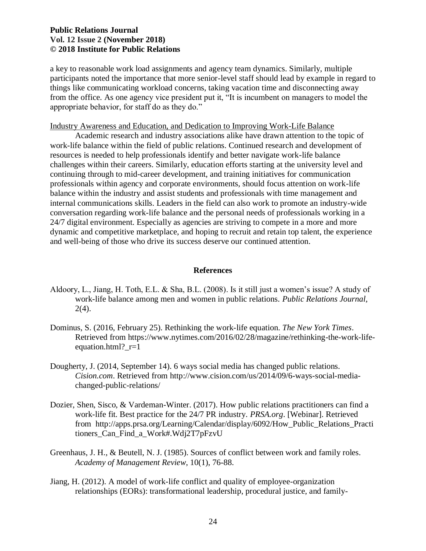participants noted the importance that more senior-level staff should lead by example in regard to things like communicating workload concerns, taking vacation time and disconnecting away from the office. As one agency vice president put it, "It is incumbent on managers to model the appropriate behavior, for staff do as they do." a key to reasonable work load assignments and agency team dynamics. Similarly, multiple

#### Industry Awareness and Education, and Dedication to Improving Work-Life Balance

 Academic research and industry associations alike have drawn attention to the topic of work-life balance within the field of public relations. Continued research and development of resources is needed to help professionals identify and better navigate work-life balance balance within the industry and assist students and professionals with time management and internal communications skills. Leaders in the field can also work to promote an industry-wide conversation regarding work-life balance and the personal needs of professionals working in a 24/7 digital environment. Especially as agencies are striving to compete in a more and more dynamic and competitive marketplace, and hoping to recruit and retain top talent, the experience challenges within their careers. Similarly, education efforts starting at the university level and continuing through to mid-career development, and training initiatives for communication professionals within agency and corporate environments, should focus attention on work-life and well-being of those who drive its success deserve our continued attention.

#### **References**

- Aldoory, L., Jiang, H. Toth, E.L. & Sha, B.L. (2008). Is it still just a women's issue? A study of work-life balance among men and women in public relations. *Public Relations Journal*,  $2(4)$ .
- Dominus, S. (2016, February 25). Rethinking the work-life equation. *The New York Times*. Retrieved from [https://www.nytimes.com/2016/02/28/magazine/rethinking-the-work-life](https://www.nytimes.com/2016/02/28/magazine/rethinking-the-work-life-equation.html?_r=1)equation.html?\_r=1
- Dougherty, J. (2014, September 14). 6 ways social media has changed public relations. *Cision.com*. Retrieved from [http://www.cision.com/us/2014/09/6-ways-social-media](http://www.cision.com/us/2014/09/6-ways-social-media-changed-public-relations/)[changed-public-relations/](http://www.cision.com/us/2014/09/6-ways-social-media-changed-public-relations/)
- Dozier, Shen, Sisco, & Vardeman-Winter. (2017). How public relations practitioners can find a work-life fit. Best practice for the 24/7 PR industry. *PRSA.org*. [Webinar]. Retrieved from [http://apps.prsa.org/Learning/Calendar/display/6092/How\\_Public\\_Relations\\_Practi](http://apps.prsa.org/Learning/Calendar/display/6092/How_Public_Relations_Practitioners_Can_Find_a_Work#.Wdj2T7pFzvU)  [tioners\\_Can\\_Find\\_a\\_Work#.Wdj2T7pFzvU](http://apps.prsa.org/Learning/Calendar/display/6092/How_Public_Relations_Practitioners_Can_Find_a_Work#.Wdj2T7pFzvU)
- Greenhaus, J. H., & Beutell, N. J. (1985). Sources of conflict between work and family roles. *Academy of Management Review*, 10(1), 76-88.
- Jiang, H. (2012). A model of work-life conflict and quality of employee-organization relationships (EORs): transformational leadership, procedural justice, and family-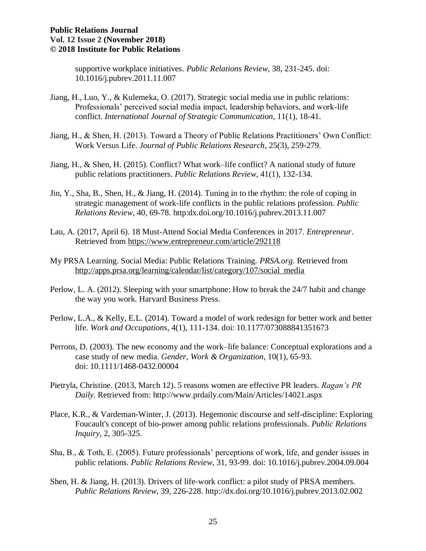supportive workplace initiatives. *Public Relations Review*, 38, 231-245. doi: 10.1016/j.pubrev.2011.11.007

- Professionals' perceived social media impact, leadership behaviors, and work-life Jiang, H., Luo, Y., & Kulemeka, O. (2017). Strategic social media use in public relations: conflict. *International Journal of Strategic Communication*, 11(1), 18-41.
- Jiang, H., & Shen, H. (2013). Toward a Theory of Public Relations Practitioners' Own Conflict: Work Versus Life. *Journal of Public Relations Research*, 25(3), 259-279.
- Jiang, H., & Shen, H. (2015). Conflict? What work–life conflict? A national study of future public relations practitioners. *Public Relations Review*, 41(1), 132-134.
- Jin, Y., Sha, B., Shen, H., & Jiang, H. (2014). Tuning in to the rhythm: the role of coping in strategic management of work-life conflicts in the public relations profession. *Public Relations Review*, 40, 69-78. http:dx.doi.org/10.1016/j.pubrev.2013.11.007
- Lau, A. (2017, April 6). 18 Must-Attend Social Media Conferences in 2017. *Entrepreneur*. Retrieved from<https://www.entrepreneur.com/article/292118>
- My PRSA Learning. Social Media: Public Relations Training. *PRSA.org*. Retrieved from [http://apps.prsa.org/learning/calendar/list/category/107/social\\_media](http://apps.prsa.org/learning/calendar/list/category/107/social_media)
- Perlow, L. A. (2012). Sleeping with your smartphone: How to break the 24/7 habit and change the way you work. Harvard Business Press.
- Perlow, L.A., & Kelly, E.L. (2014). Toward a model of work redesign for better work and better life. *Work and Occupations*, 4(1), 111-134. doi: 10.1177/073088841351673
- case study of new media. *Gender, Work & Organization*, 10(1), 65-93. Perrons, D. (2003). The new economy and the work–life balance: Conceptual explorations and a doi: 10.1111/1468-0432.00004
- Pietryla, Christine. (2013, March 12). 5 reasons women are effective PR leaders. *Ragan's PR Daily*. Retrieved from:<http://www.prdaily.com/Main/Articles/14021.aspx>
- Foucault's concept of bio-power among public relations professionals. *Public Relations*  Place, K.R., & Vardeman-Winter, J. (2013). Hegemonic discourse and self-discipline: Exploring *Inquiry*, 2, 305-325.
- Sha, B., & Toth, E. (2005). Future professionals' perceptions of work, life, and gender issues in public relations. *Public Relations Review*, 31, 93-99. doi: 10.1016/j.pubrev.2004.09.004
- Shen, H. & Jiang, H. (2013). Drivers of life-work conflict: a pilot study of PRSA members. *Public Relations Review*, 39, 226-228.<http://dx.doi.org/10.1016/j.pubrev.2013.02.002>